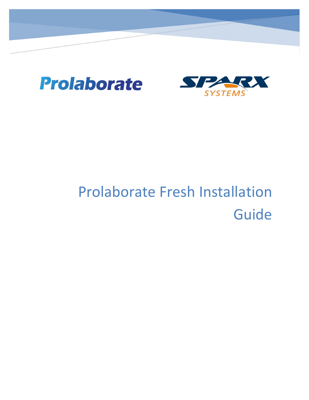



# Prolaborate Fresh Installation Guide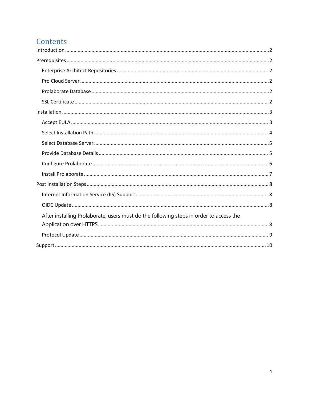# Contents

| After installing Prolaborate, users must do the following steps in order to access the |  |
|----------------------------------------------------------------------------------------|--|
|                                                                                        |  |
|                                                                                        |  |
|                                                                                        |  |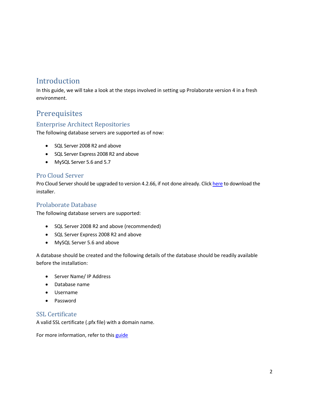# <span id="page-2-0"></span>Introduction

In this guide, we will take a look at the steps involved in setting up Prolaborate version 4 in a fresh environment.

# <span id="page-2-1"></span>**Prerequisites**

#### <span id="page-2-2"></span>Enterprise Architect Repositories

The following database servers are supported as of now:

- SQL Server 2008 R2 and above
- SQL Server Express 2008 R2 and above
- MySQL Server 5.6 and 5.7

#### <span id="page-2-3"></span>Pro Cloud Server

Pro Cloud Server should be upgraded to version 4.2.66, if not done already. Click [here](https://sparxsystems.com/products/procloudserver/downloads.html) to download the installer.

#### <span id="page-2-4"></span>Prolaborate Database

The following database servers are supported:

- SQL Server 2008 R2 and above (recommended)
- SQL Server Express 2008 R2 and above
- MySQL Server 5.6 and above

A database should be created and the following details of the database should be readily available before the installation:

- Server Name/ IP Address
- Database name
- Username
- Password

#### <span id="page-2-5"></span>SSL Certificate

A valid SSL certificate (.pfx file) with a domain name.

For more information, refer to this [guide](https://prolaborate.sparxsystems.com/resources/documentation/installation-guide)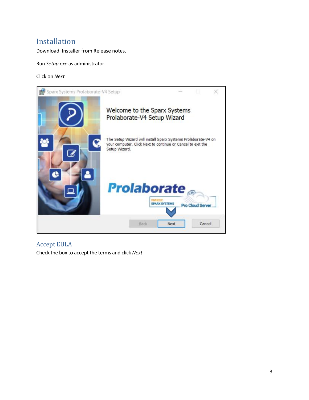## <span id="page-3-0"></span>Installation

Download Installer from Release notes.

Run *Setup.exe* as administrator.

Click on *Next*



<span id="page-3-1"></span>Accept EULA Check the box to accept the terms and click *Next*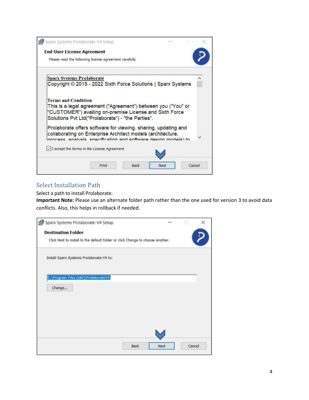| <b>End-User License Agreement</b>                                                                                                                                                                           |  |
|-------------------------------------------------------------------------------------------------------------------------------------------------------------------------------------------------------------|--|
| Please read the following license agreement carefully                                                                                                                                                       |  |
| <b>Sparx Systems Prolaborate</b>                                                                                                                                                                            |  |
| Copyright © 2015 - 2022 Sixth Force Solutions   Sparx Systems                                                                                                                                               |  |
| <b>Terms and Condition</b><br>This is a legal agreement ("Agreement") between you ("You" or<br>"CUSTOMER") availing on-premise License and Sixth Force<br>Solutions Pvt Ltd("Prolaborate") - "the Parties". |  |
| Prolaborate offers software for viewing, sharing, updating and<br>collaborating on Enterprise Architect models (architecture,<br>process analysis specification and software design models) to              |  |
| $\sqrt{1}$ accept the terms in the License Agreement                                                                                                                                                        |  |
|                                                                                                                                                                                                             |  |

#### <span id="page-4-0"></span>Select Installation Path

Select a path to install Prolaborate.

**Important Note:** Please use an alternate folder path rather than the one used for version 3 to avoid data conflicts. Also, this helps in rollback if needed.

| Sparx Systems Prolaborate-V4 Setup                                             |      |        |  |
|--------------------------------------------------------------------------------|------|--------|--|
| <b>Destination Folder</b>                                                      |      |        |  |
| Click Next to install to the default folder or click Change to choose another. |      |        |  |
| Install Sparx Systems Prolaborate-V4 to:                                       |      |        |  |
| C:\Program Files (x86)\ProlaborateV4\                                          |      |        |  |
| Change                                                                         |      |        |  |
|                                                                                |      |        |  |
|                                                                                |      |        |  |
|                                                                                |      |        |  |
|                                                                                |      |        |  |
|                                                                                | Next | Cancel |  |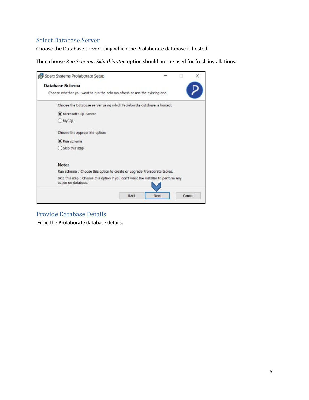### <span id="page-5-0"></span>Select Database Server

Choose the Database server using which the Prolaborate database is hosted.

Then choose *Run Schema*. *Skip this step* option should not be used for fresh installations.

| Choose whether you want to run the schema afresh or use the existing one. |                                                                                    |
|---------------------------------------------------------------------------|------------------------------------------------------------------------------------|
|                                                                           |                                                                                    |
| Choose the Database server using which Prolaborate database is hosted:    |                                                                                    |
|                                                                           |                                                                                    |
|                                                                           |                                                                                    |
|                                                                           |                                                                                    |
|                                                                           |                                                                                    |
|                                                                           |                                                                                    |
|                                                                           |                                                                                    |
| Run schema : Choose this option to create or upgrade Prolaborate tables.  |                                                                                    |
|                                                                           |                                                                                    |
|                                                                           | Skip this step : Choose this option if you don't want the installer to perform any |

#### <span id="page-5-1"></span>Provide Database Details

Fill in the **Prolaborate** database details.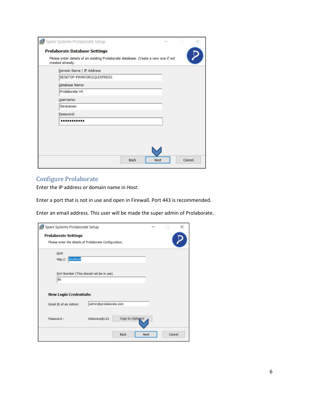| created already.<br>Domain Name / IP Address |  |
|----------------------------------------------|--|
| DESKTOP-P9V8VSR\SQLEXPRESS                   |  |
| Database Name:                               |  |
| Prolaborate V4                               |  |
| Username:                                    |  |
| Saravanan                                    |  |
| Password:                                    |  |
|                                              |  |
|                                              |  |
|                                              |  |

#### <span id="page-6-0"></span>Configure Prolaborate

Enter the IP address or domain name in *Host.*

Enter a port that is not in use and open in Firewall. Port 443 is recommended.

Enter an email address. This user will be made the super admin of Prolaborate.

| <b>Prolaborate Settings</b>                            |                                         |                   |  |
|--------------------------------------------------------|-----------------------------------------|-------------------|--|
| Please enter the details of Prolaborate Configuration. |                                         |                   |  |
| Host                                                   |                                         |                   |  |
| localhost<br>http://                                   |                                         |                   |  |
|                                                        |                                         |                   |  |
|                                                        | Port Number (This should not be in use) |                   |  |
|                                                        |                                         |                   |  |
| 80                                                     |                                         |                   |  |
|                                                        |                                         |                   |  |
| <b>New Login Credentials:</b>                          |                                         |                   |  |
| Email ID of an Admin:                                  | admin@prolaborate.com                   |                   |  |
|                                                        |                                         |                   |  |
| Password:                                              | Welcome@123                             | Copy to clipboard |  |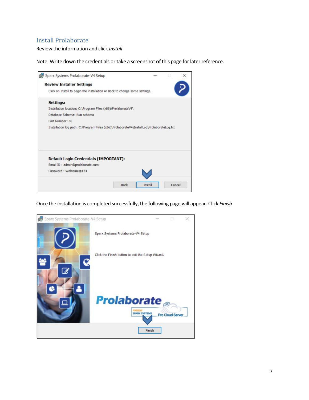## <span id="page-7-0"></span>Install Prolaborate

Review the information and click *Install*

Note: Write down the credentials or take a screenshot of this page for later reference.

| Sparx Systems Prolaborate-V4 Setup                                                        |  |  |
|-------------------------------------------------------------------------------------------|--|--|
| <b>Review Installer Settings</b>                                                          |  |  |
| Click on Install to begin the installation or Back to change some settings.               |  |  |
| <b>Settings:</b>                                                                          |  |  |
| Installation location: C:\Program Files (x86)\ProlaborateV4\                              |  |  |
| Database Schema: Run schema                                                               |  |  |
| Port Number: 80                                                                           |  |  |
|                                                                                           |  |  |
| Installation log path: C:\Program Files (x86)\ProlaborateV4\InstallLog\ProlaborateLog.txt |  |  |
| <b>Default Login Credentials (IMPORTANT):</b><br>Email ID: admin@prolaborate.com          |  |  |
| Password: Welcome@123                                                                     |  |  |

Once the installation is completed successfully, the following page will appear. Click *Finish*

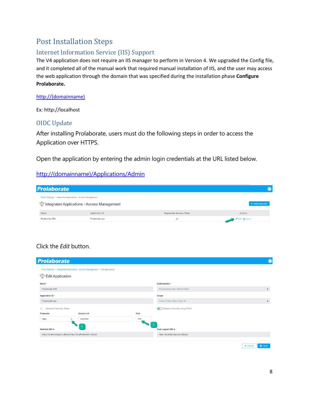# <span id="page-8-0"></span>Post Installation Steps

## <span id="page-8-1"></span>Internet Information Service (IIS) Support

The V4 application does not require an IIS manager to perform in Version 4. We upgraded the Config file, and it completed all of the manual work that required manual installation of IIS, and the user may access the web application through the domain that was specified during the installation phase **Configure Prolaborate.**

#### [http://\(domainname\)](http://(domainname))

Ex: http://localhost

#### <span id="page-8-2"></span>OIDC Update

<span id="page-8-3"></span>After installing Prolaborate, users must do the following steps in order to access the Application over HTTPS.

Open the application by entering the admin login credentials at the URL listed below.

#### [http://\(domainname\)/Applications/Admin](http://domainname/Applications/Admin)

| <b>Prolaborate</b>                                            |                                                        |                           |                    |
|---------------------------------------------------------------|--------------------------------------------------------|---------------------------|--------------------|
| Portal Settings / Integrated Applications - Access Management | <i>eff</i> Integrated Applications - Access Management |                           | + Add Application  |
| Name                                                          | Application ID                                         | Regenerate Security Token | Actions            |
| Prolaborate SPA                                               | Prolaborate-spa                                        |                           | Edit <b>Delete</b> |

## Click the *Edit* button.

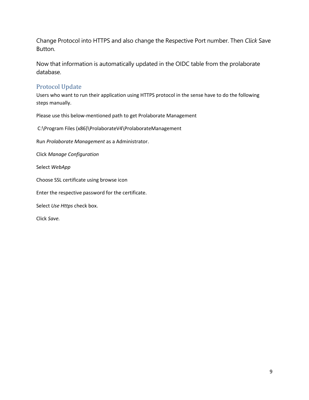Change Protocol into HTTPS and also change the Respective Port number. Then *Click* Save Button.

Now that information is automatically updated in the OIDC table from the prolaborate database.

#### <span id="page-9-0"></span>Protocol Update

Users who want to run their application using HTTPS protocol in the sense have to do the following steps manually.

Please use this below-mentioned path to get Prolaborate Management

C:\Program Files (x86)\ProlaborateV4\ProlaborateManagement

Run *Prolaborate Management* as a Administrator.

Click *Manage Configuration*

Select *WebApp*

Choose SSL certificate using browse icon

Enter the respective password for the certificate.

Select *Use Https* check box.

Click *Save.*